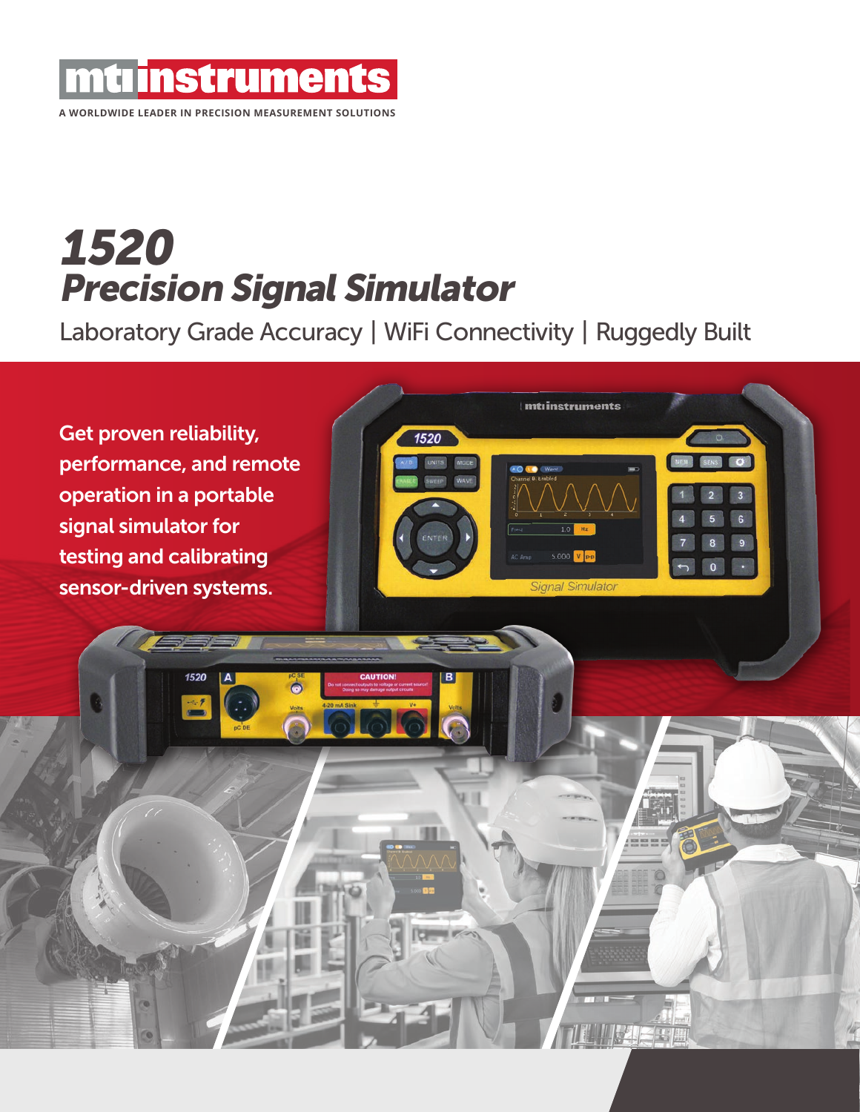

# 1520 Precision Signal Simulator

Laboratory Grade Accuracy | WiFi Connectivity | Ruggedly Built

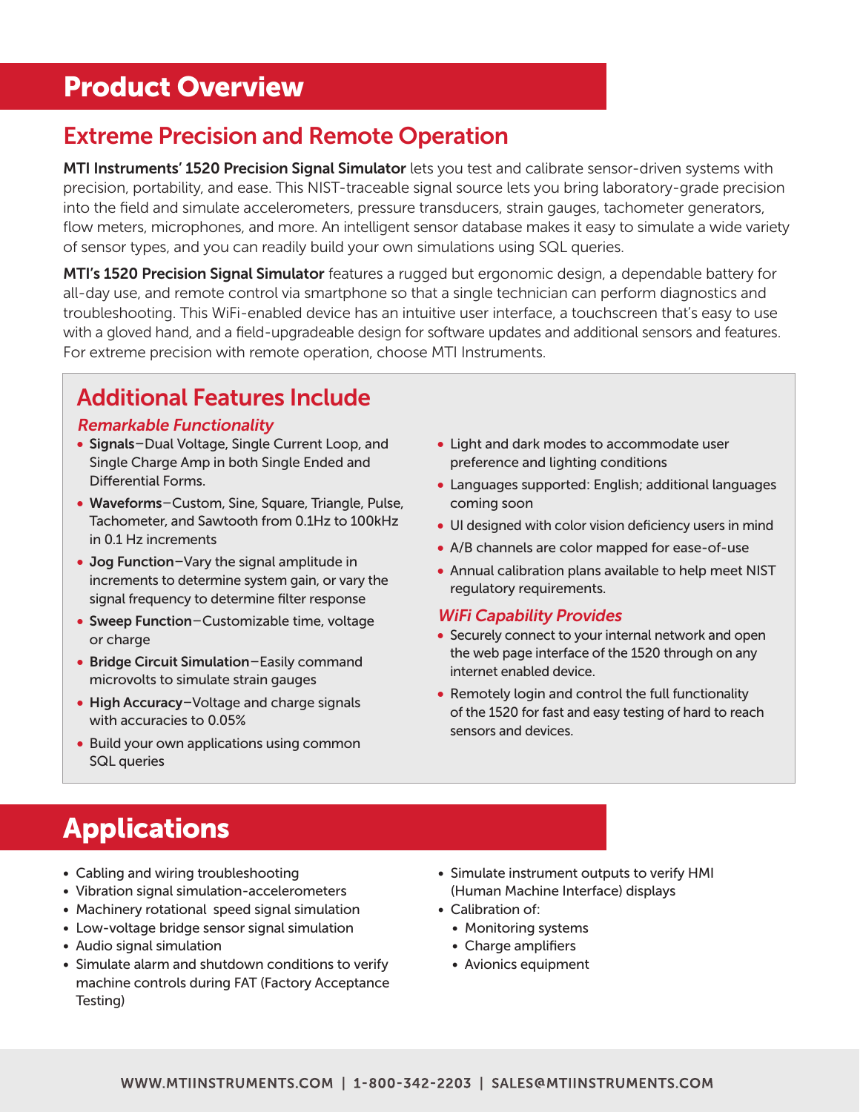## Product Overview

### Extreme Precision and Remote Operation

MTI Instruments' 1520 Precision Signal Simulator lets you test and calibrate sensor-driven systems with precision, portability, and ease. This NIST-traceable signal source lets you bring laboratory-grade precision into the field and simulate accelerometers, pressure transducers, strain gauges, tachometer generators, flow meters, microphones, and more. An intelligent sensor database makes it easy to simulate a wide variety of sensor types, and you can readily build your own simulations using SQL queries.

**MTI's 1520 Precision Signal Simulator** features a rugged but ergonomic design, a dependable battery for all-day use, and remote control via smartphone so that a single technician can perform diagnostics and troubleshooting. This WiFi-enabled device has an intuitive user interface, a touchscreen that's easy to use with a gloved hand, and a field-upgradeable design for software updates and additional sensors and features. For extreme precision with remote operation, choose MTI Instruments.

### Additional Features Include

#### Remarkable Functionality

- Signals–Dual Voltage, Single Current Loop, and Single Charge Amp in both Single Ended and Differential Forms.
- Waveforms–Custom, Sine, Square, Triangle, Pulse, Tachometer, and Sawtooth from 0.1Hz to 100kHz in 0.1 Hz increments
- Jog Function–Vary the signal amplitude in increments to determine system gain, or vary the signal frequency to determine filter response
- Sweep Function–Customizable time, voltage or charge
- Bridge Circuit Simulation–Easily command microvolts to simulate strain gauges
- High Accuracy-Voltage and charge signals with accuracies to 0.05%
- Build your own applications using common SQL queries
- Light and dark modes to accommodate user preference and lighting conditions
- Languages supported: English; additional languages coming soon
- UI designed with color vision deficiency users in mind
- A/B channels are color mapped for ease-of-use
- Annual calibration plans available to help meet NIST regulatory requirements.

#### WiFi Capability Provides

- Securely connect to your internal network and open the web page interface of the 1520 through on any internet enabled device.
- Remotely login and control the full functionality of the 1520 for fast and easy testing of hard to reach sensors and devices.

# Applications

- Cabling and wiring troubleshooting
- Vibration signal simulation-accelerometers
- Machinery rotational speed signal simulation
- Low-voltage bridge sensor signal simulation
- Audio signal simulation
- Simulate alarm and shutdown conditions to verify machine controls during FAT (Factory Acceptance Testing)
- Simulate instrument outputs to verify HMI (Human Machine Interface) displays
- Calibration of:
	- Monitoring systems
	- Charge amplifiers
	- Avionics equipment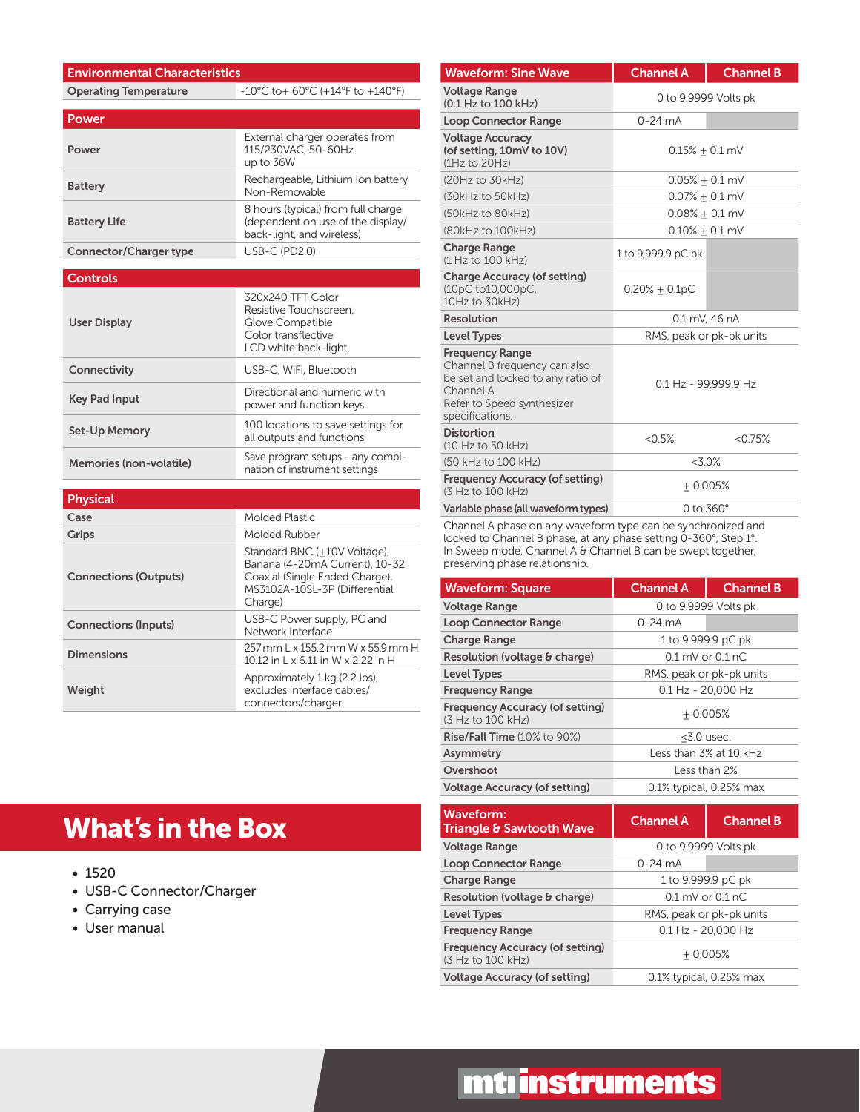#### Environmental Characteristics Operating Temperature -10°C to+ 60°C (+14°F to +140°F)

| Power                         |                                                                                                      |
|-------------------------------|------------------------------------------------------------------------------------------------------|
| Power                         | External charger operates from<br>115/230VAC, 50-60Hz<br>up to 36W                                   |
| <b>Battery</b>                | Rechargeable, Lithium Ion battery<br>Non-Removable                                                   |
| <b>Battery Life</b>           | 8 hours (typical) from full charge<br>(dependent on use of the display/<br>back-light, and wireless) |
| <b>Connector/Charger type</b> | $USB-C (PD2.0)$                                                                                      |

#### **Controls**

| <b>User Display</b>     | 320x240 TFT Color<br>Resistive Touchscreen.<br>Glove Compatible<br>Color transflective<br>LCD white back-light |
|-------------------------|----------------------------------------------------------------------------------------------------------------|
| Connectivity            | USB-C. WiFi. Bluetooth                                                                                         |
| <b>Key Pad Input</b>    | Directional and numeric with<br>power and function keys.                                                       |
| Set-Up Memory           | 100 locations to save settings for<br>all outputs and functions                                                |
| Memories (non-volatile) | Save program setups - any combi-<br>nation of instrument settings                                              |

| <b>Physical</b>              |                                                                                                                                              |
|------------------------------|----------------------------------------------------------------------------------------------------------------------------------------------|
| Case                         | Molded Plastic                                                                                                                               |
| Grips                        | Molded Rubber                                                                                                                                |
| <b>Connections (Outputs)</b> | Standard BNC (+10V Voltage),<br>Banana (4-20mA Current), 10-32<br>Coaxial (Single Ended Charge),<br>MS3102A-10SL-3P (Differential<br>Charge) |
| <b>Connections (Inputs)</b>  | USB-C Power supply, PC and<br>Network Interface                                                                                              |
| <b>Dimensions</b>            | 257 mm L x 155.2 mm W x 55.9 mm H<br>10.12 in L x 6.11 in W x 2.22 in H                                                                      |
| Weight                       | Approximately 1 kg (2.2 lbs),<br>excludes interface cables/<br>connectors/charger                                                            |

#### Waveform: Sine Wave **Channel A** Channel B Voltage Range voltage Range<br>(0.1 Hz to 100 kHz) 0 to 9.9999 Volts pk Loop Connector Range **0-24 mA** Voltage Accuracy (of setting, 10mV to 10V) (1Hz to 20Hz)  $0.15\% \pm 0.1$  mV  $(20\text{Hz to }30\text{kHz})$  0.05%  $\pm$  0.1 mV  $(30kHz to 50kHz)$  0.07%  $\pm$  0.1 mV (50kHz to 80kHz)  $0.08\% \pm 0.1$  mV (80kHz to 100kHz)  $0.10\% \pm 0.1$  mV Charge Range Charge Range<br>(1 Hz to 100 kHz) 1 to 9,999.9 pC pk Charge Accuracy (of setting) (10pC to10,000pC, 10Hz to 30kHz)  $0.20% \pm 0.1pC$ Resolution 0.1 mV, 46 nA Level Types **RMS**, peak or pk-pk units Frequency Range Channel B frequency can also be set and locked to any ratio of Channel A. Refer to Speed synthesizer specifications. 0.1 Hz - 99,999.9 Hz Distortion  $\mu$  = 0.5%  $\mu$  = 0.75%  $\mu$  = 0.75%  $\mu$  = 0.75%  $\mu$ (50 kHz to 100 kHz) <3.0% Frequency Accuracy (of setting) Frequency Accuracy (or setting)  $\pm 0.005\%$ <br>(3 Hz to 100 kHz) Variable phase (all waveform types) 0 to 360°

Channel A phase on any waveform type can be synchronized and locked to Channel B phase, at any phase setting 0-360°, Step 1°. In Sweep mode, Channel A & Channel B can be swept together, preserving phase relationship.

| <b>Waveform: Square</b>                                     | <b>Channel A</b>         | <b>Channel B</b> |
|-------------------------------------------------------------|--------------------------|------------------|
| <b>Voltage Range</b>                                        | 0 to 9.9999 Volts pk     |                  |
| <b>Loop Connector Range</b>                                 | $0 - 24$ mA              |                  |
| <b>Charge Range</b>                                         | 1 to 9,999.9 pC pk       |                  |
| Resolution (voltage & charge)                               | $0.1$ mV or $0.1$ nC     |                  |
| <b>Level Types</b>                                          | RMS, peak or pk-pk units |                  |
| <b>Frequency Range</b>                                      | $0.1$ Hz - 20.000 Hz     |                  |
| <b>Frequency Accuracy (of setting)</b><br>(3 Hz to 100 kHz) | $+0.005%$                |                  |
| <b>Rise/Fall Time</b> (10% to 90%)                          | $<$ 3.0 usec.            |                  |
| Asymmetry                                                   | Less than 3% at 10 kHz   |                  |
| Overshoot                                                   | Less than 2%             |                  |
| <b>Voltage Accuracy (of setting)</b>                        | 0.1% typical, 0.25% max  |                  |

| Waveform:<br><b>Triangle &amp; Sawtooth Wave</b>            | <b>Channel A</b>         | <b>Channel B</b>     |
|-------------------------------------------------------------|--------------------------|----------------------|
| <b>Voltage Range</b>                                        |                          | 0 to 9.9999 Volts pk |
| <b>Loop Connector Range</b>                                 | $0 - 24$ mA              |                      |
| <b>Charge Range</b>                                         |                          | 1 to 9,999.9 pC pk   |
| Resolution (voltage & charge)                               | $0.1$ mV or $0.1$ nC     |                      |
| <b>Level Types</b>                                          | RMS, peak or pk-pk units |                      |
| <b>Frequency Range</b>                                      | $0.1$ Hz - 20.000 Hz     |                      |
| <b>Frequency Accuracy (of setting)</b><br>(3 Hz to 100 kHz) | $+0.005%$                |                      |
| <b>Voltage Accuracy (of setting)</b>                        | 0.1% typical, 0.25% max  |                      |

# What's in the Box

- 1520
- USB-C Connector/Charger
- Carrying case
- User manual

# mtinstruments